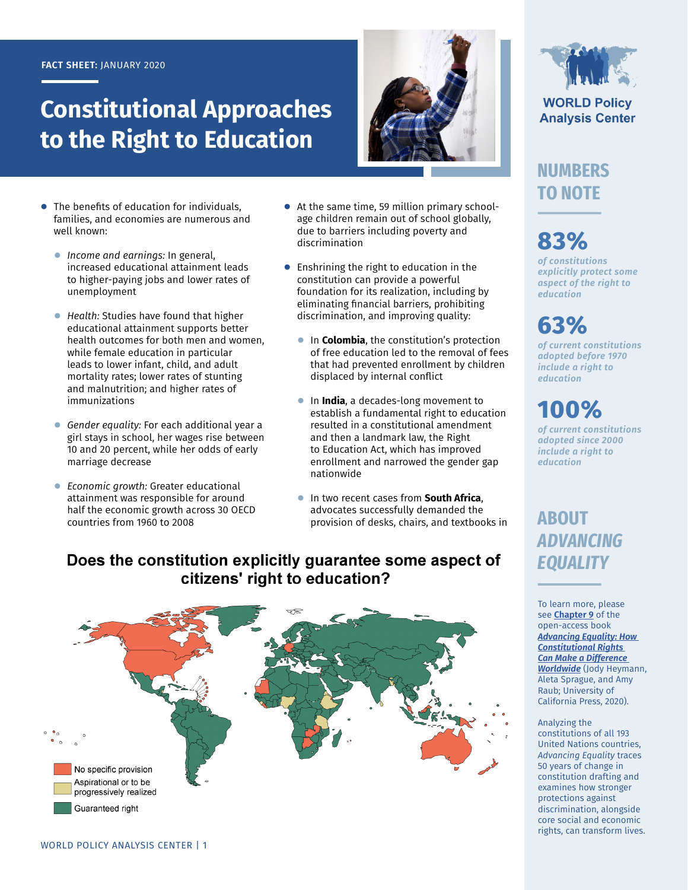#### **FACT SHEET:** JANUARY 2020

# **Constitutional Approaches to the Right to Education**



- **●** The benefits of education for individuals, families, and economies are numerous and well known:
	- **●** *Income and earnings:* In general, increased educational attainment leads to higher-paying jobs and lower rates of unemployment
	- **●** *Health:* Studies have found that higher educational attainment supports better health outcomes for both men and women, while female education in particular leads to lower infant, child, and adult mortality rates; lower rates of stunting and malnutrition; and higher rates of immunizations
	- **●** *Gender equality:* For each additional year a girl stays in school, her wages rise between 10 and 20 percent, while her odds of early marriage decrease
	- **●** *Economic growth:* Greater educational attainment was responsible for around half the economic growth across 30 OECD countries from 1960 to 2008
- **●** At the same time, 59 million primary schoolage children remain out of school globally, due to barriers including poverty and discrimination
- **●** Enshrining the right to education in the constitution can provide a powerful foundation for its realization, including by eliminating financial barriers, prohibiting discrimination, and improving quality:
	- **●** In **Colombia**, the constitution's protection of free education led to the removal of fees that had prevented enrollment by children displaced by internal conflict
	- **●** In **India**, a decades-long movement to establish a fundamental right to education resulted in a constitutional amendment and then a landmark law, the Right to Education Act, which has improved enrollment and narrowed the gender gap nationwide
	- **●** In two recent cases from **South Africa**, advocates successfully demanded the provision of desks, chairs, and textbooks in

**WORLD Policy Analysis Center** 

## **NUMBERS TO NOTE**

# **83%**

*of constitutions explicitly protect some aspect of the right to education*

**63%**

*of current constitutions adopted before 1970 include a right to education*

# **100%**

*of current constitutions adopted since 2000 include a right to education*

## **ABOUT**  *ADVANCING EQUALITY*

To learn more, please see **[Chapter 9](https://doi.org/10.1525/luminos.81.j)** of the open-access book *[Advancing Equality: How](https://doi.org/10.1525/luminos.81)  [Constitutional Rights](https://doi.org/10.1525/luminos.81)  [Can Make a Difference](https://doi.org/10.1525/luminos.81)  [Worldwide](https://doi.org/10.1525/luminos.81)* (Jody Heymann, Aleta Sprague, and Amy Raub; University of California Press, 2020).

#### Analyzing the constitutions of all 193 United Nations countries, *Advancing Equality* traces 50 years of change in constitution drafting and examines how stronger protections against discrimination, alongside core social and economic rights, can transform lives.

#### Does the constitution explicitly guarantee some aspect of citizens' right to education?